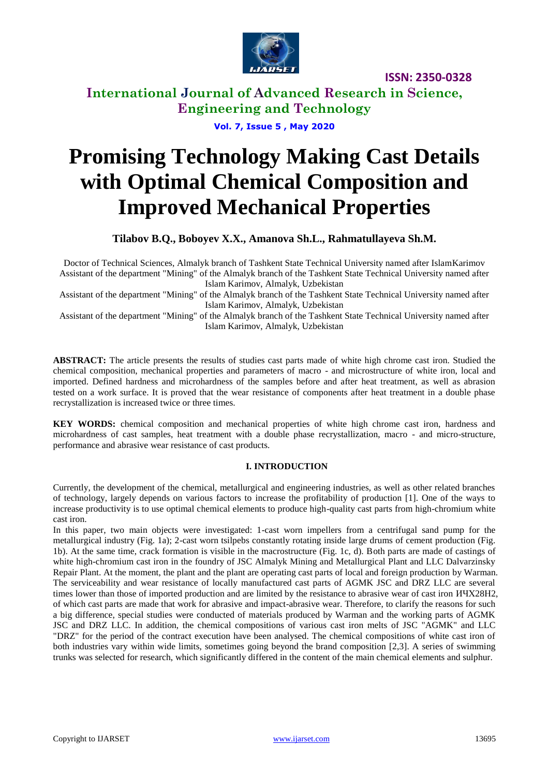

**International Journal of Advanced Research in Science, Engineering and Technology**

**Vol. 7, Issue 5 , May 2020**

# **Promising Technology Making Cast Details with Optimal Chemical Composition and Improved Mechanical Properties**

**Tilabov B.Q., Boboyev X.X., Amanova Sh.L., Rahmatullayeva Sh.M.** 

Doctor of Technical Sciences, Almalyk branch of Tashkent State Technical University named after IslamKarimov Assistant of the department "Mining" of the Almalyk branch of the Tashkent State Technical University named after Islam Karimov, Almalyk, Uzbekistan

Assistant of the department "Mining" of the Almalyk branch of the Tashkent State Technical University named after Islam Karimov, Almalyk, Uzbekistan

Assistant of the department "Mining" of the Almalyk branch of the Tashkent State Technical University named after Islam Karimov, Almalyk, Uzbekistan

**ABSTRACT:** The article presents the results of studies cast parts made of white high chrome cast iron. Studied the chemical composition, mechanical properties and parameters of macro - and microstructure of white iron, local and imported. Defined hardness and microhardness of the samples before and after heat treatment, as well as abrasion tested on a work surface. It is proved that the wear resistance of components after heat treatment in a double phase recrystallization is increased twice or three times.

**KEY WORDS:** chemical composition and mechanical properties of white high chrome cast iron, hardness and microhardness of cast samples, heat treatment with a double phase recrystallization, macro - and micro-structure, performance and abrasive wear resistance of cast products.

### **I. INTRODUCTION**

Currently, the development of the chemical, metallurgical and engineering industries, as well as other related branches of technology, largely depends on various factors to increase the profitability of production [1]. One of the ways to increase productivity is to use optimal chemical elements to produce high-quality cast parts from high-chromium white cast iron.

In this paper, two main objects were investigated: 1-cast worn impellers from a centrifugal sand pump for the metallurgical industry (Fig. 1a); 2-cast worn tsilpebs constantly rotating inside large drums of cement production (Fig. 1b). At the same time, crack formation is visible in the macrostructure (Fig. 1c, d). Both parts are made of castings of white high-chromium cast iron in the foundry of JSC Almalyk Mining and Metallurgical Plant and LLC Dalvarzinsky Repair Plant. At the moment, the plant and the plant are operating cast parts of local and foreign production by Warman. The serviceability and wear resistance of locally manufactured cast parts of AGMK JSC and DRZ LLC are several times lower than those of imported production and are limited by the resistance to abrasive wear of cast iron ИЧХ28Н2, of which cast parts are made that work for abrasive and impact-abrasive wear. Therefore, to clarify the reasons for such a big difference, special studies were conducted of materials produced by Warman and the working parts of AGMK JSC and DRZ LLC. In addition, the chemical compositions of various cast iron melts of JSC "AGMK" and LLC "DRZ" for the period of the contract execution have been analysed. The chemical compositions of white cast iron of both industries vary within wide limits, sometimes going beyond the brand composition [2,3]. A series of swimming trunks was selected for research, which significantly differed in the content of the main chemical elements and sulphur.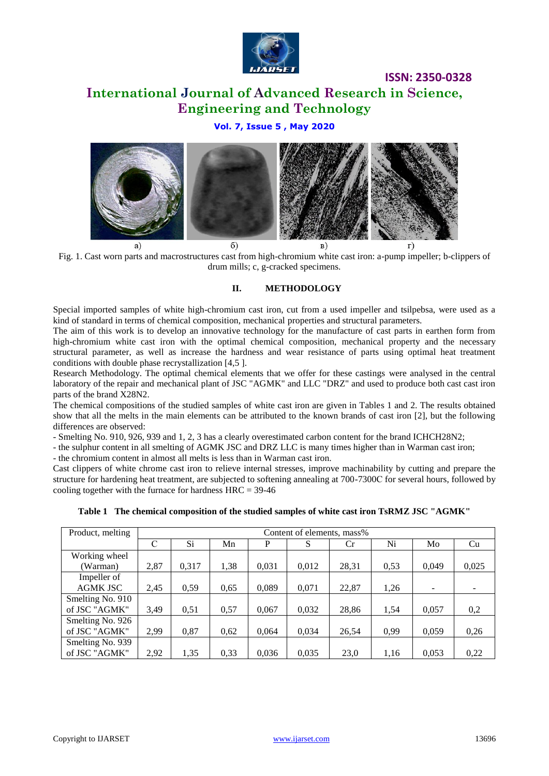

## **ISSN: 2350-0328 International Journal of Advanced Research in Science, Engineering and Technology**

### **Vol. 7, Issue 5 , May 2020**



Fig. 1. Cast worn parts and macrostructures cast from high-chromium white cast iron: a-pump impeller; b-clippers of drum mills; c, g-cracked specimens.

#### **II. METHODOLOGY**

Special imported samples of white high-chromium cast iron, cut from a used impeller and tsilpebsa, were used as a kind of standard in terms of chemical composition, mechanical properties and structural parameters.

The aim of this work is to develop an innovative technology for the manufacture of cast parts in earthen form from high-chromium white cast iron with the optimal chemical composition, mechanical property and the necessary structural parameter, as well as increase the hardness and wear resistance of parts using optimal heat treatment conditions with double phase recrystallization [4,5 ].

Research Methodology. The optimal chemical elements that we offer for these castings were analysed in the central laboratory of the repair and mechanical plant of JSC "AGMK" and LLC "DRZ" and used to produce both cast cast iron parts of the brand X28N2.

The chemical compositions of the studied samples of white cast iron are given in Tables 1 and 2. The results obtained show that all the melts in the main elements can be attributed to the known brands of cast iron [2], but the following differences are observed:

- Smelting No. 910, 926, 939 and 1, 2, 3 has a clearly overestimated carbon content for the brand ICHCH28N2;

- the sulphur content in all smelting of AGMK JSC and DRZ LLC is many times higher than in Warman cast iron;

- the chromium content in almost all melts is less than in Warman cast iron.

Cast clippers of white chrome cast iron to relieve internal stresses, improve machinability by cutting and prepare the structure for hardening heat treatment, are subjected to softening annealing at 700-7300С for several hours, followed by cooling together with the furnace for hardness  $HRC = 39-46$ 

| Product, melting | Content of elements, mass% |       |      |       |       |       |      |       |       |
|------------------|----------------------------|-------|------|-------|-------|-------|------|-------|-------|
|                  | C                          | Si    | Mn   | P     | S     | Cr    | Ni   | Mo    | Cu    |
| Working wheel    |                            |       |      |       |       |       |      |       |       |
| (Warman)         | 2,87                       | 0,317 | 1,38 | 0,031 | 0,012 | 28,31 | 0,53 | 0,049 | 0,025 |
| Impeller of      |                            |       |      |       |       |       |      |       |       |
| <b>AGMK JSC</b>  | 2,45                       | 0,59  | 0,65 | 0,089 | 0,071 | 22,87 | 1,26 |       |       |
| Smelting No. 910 |                            |       |      |       |       |       |      |       |       |
| of JSC "AGMK"    | 3,49                       | 0,51  | 0,57 | 0,067 | 0,032 | 28,86 | 1,54 | 0,057 | 0,2   |
| Smelting No. 926 |                            |       |      |       |       |       |      |       |       |
| of JSC "AGMK"    | 2,99                       | 0,87  | 0.62 | 0.064 | 0.034 | 26,54 | 0.99 | 0,059 | 0,26  |
| Smelting No. 939 |                            |       |      |       |       |       |      |       |       |
| of JSC "AGMK"    | 2,92                       | 1,35  | 0.33 | 0,036 | 0,035 | 23,0  | 1.16 | 0,053 | 0,22  |

**Table 1 The chemical composition of the studied samples of white cast iron TsRMZ JSC "AGMK"**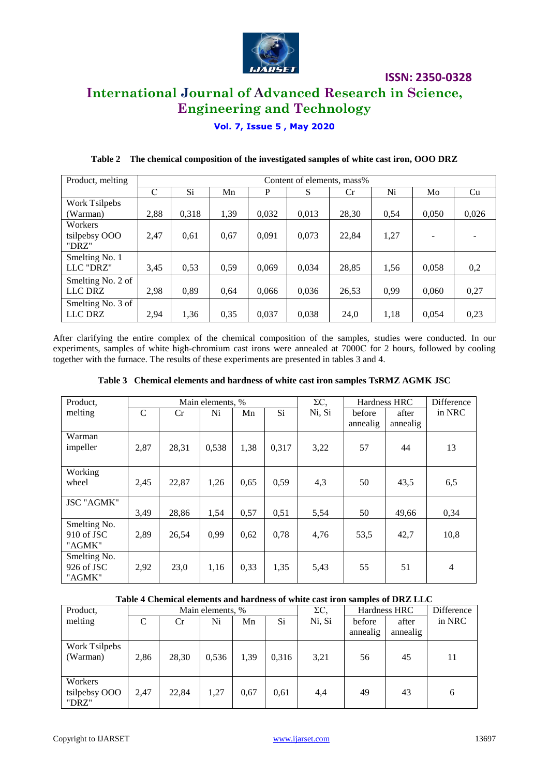

## **International Journal of Advanced Research in Science, Engineering and Technology**

### **Vol. 7, Issue 5 , May 2020**

| Product, melting  | Content of elements, mass% |       |      |       |       |       |      |       |       |
|-------------------|----------------------------|-------|------|-------|-------|-------|------|-------|-------|
|                   | С                          | Si    | Mn   | P     | S     | Cr.   | Ni   | Mo    | Cu    |
| Work Tsilpebs     |                            |       |      |       |       |       |      |       |       |
| (Warman)          | 2,88                       | 0,318 | 1,39 | 0,032 | 0,013 | 28,30 | 0,54 | 0,050 | 0,026 |
| Workers           |                            |       |      |       |       |       |      |       |       |
| tsilpebsy OOO     | 2,47                       | 0,61  | 0,67 | 0,091 | 0,073 | 22,84 | 1,27 |       |       |
| "DRZ"             |                            |       |      |       |       |       |      |       |       |
| Smelting No. 1    |                            |       |      |       |       |       |      |       |       |
| LLC "DRZ"         | 3,45                       | 0,53  | 0,59 | 0,069 | 0,034 | 28,85 | 1,56 | 0,058 | 0,2   |
| Smelting No. 2 of |                            |       |      |       |       |       |      |       |       |
| LLC DRZ           | 2.98                       | 0,89  | 0,64 | 0,066 | 0,036 | 26,53 | 0,99 | 0,060 | 0,27  |
| Smelting No. 3 of |                            |       |      |       |       |       |      |       |       |
| LLC DRZ           | 2,94                       | 1,36  | 0,35 | 0,037 | 0,038 | 24,0  | 1,18 | 0,054 | 0,23  |

### **Table 2 The chemical composition of the investigated samples of white cast iron, OOO DRZ**

After clarifying the entire complex of the chemical composition of the samples, studies were conducted. In our experiments, samples of white high-chromium cast irons were annealed at 7000С for 2 hours, followed by cooling together with the furnace. The results of these experiments are presented in tables 3 and 4.

| Product, | Main elements, % |       |       |      |       | ΣC.    | Hardness HRC |          | Difference |
|----------|------------------|-------|-------|------|-------|--------|--------------|----------|------------|
| melting  |                  | Сr    | Ni    | Mn   | Si    | Ni. Si | before       | after    | in NRC     |
|          |                  |       |       |      |       |        | annealig     | annealig |            |
| Warman   |                  |       |       |      |       |        |              |          |            |
| impeller | 2,87             | 28,31 | 0,538 | 1,38 | 0,317 | 3,22   |              | 44       |            |

wheel 2,45 22,87 1,26 0,65 0,59 4,3 50 43,5 6,5

**Table 3 Chemical elements and hardness of white cast iron samples TsRMZ AGMK JSC**

#### **Table 4 Chemical elements and hardness of white cast iron samples of DRZ LLC**

3,49 | 28,86 | 1,54 | 0,57 | 0,51 | 5,54 | 50 | 49,66 | 0,34

2,89 | 26,54 | 0,99 | 0,62 | 0,78 | 4,76 | 53,5 | 42,7 | 10,8

2,92 23,0 1,16 0,33 1,35 5,43 55 51 4

| Product,                          | Main elements, % |       |       |      |           | $\Sigma C$ |                    | Hardness HRC      | Difference |
|-----------------------------------|------------------|-------|-------|------|-----------|------------|--------------------|-------------------|------------|
| melting                           |                  | Cr.   | Ni    | Mn   | <b>Si</b> | Ni, Si     | before<br>annealig | after<br>annealig | in NRC     |
| Work Tsilpebs<br>(Warman)         | 2.86             | 28,30 | 0,536 | 1,39 | 0,316     | 3,21       | 56                 | 45                | 11         |
| Workers<br>tsilpebsy OOO<br>"DRZ" | 2.47             | 22.84 | 1,27  | 0.67 | 0,61      | 4,4        | 49                 | 43                | 6          |

Working

JSC "AGMK"

Smelting No. 910 of JSC "AGMK"

Smelting No. 926 of JSC "AGMK"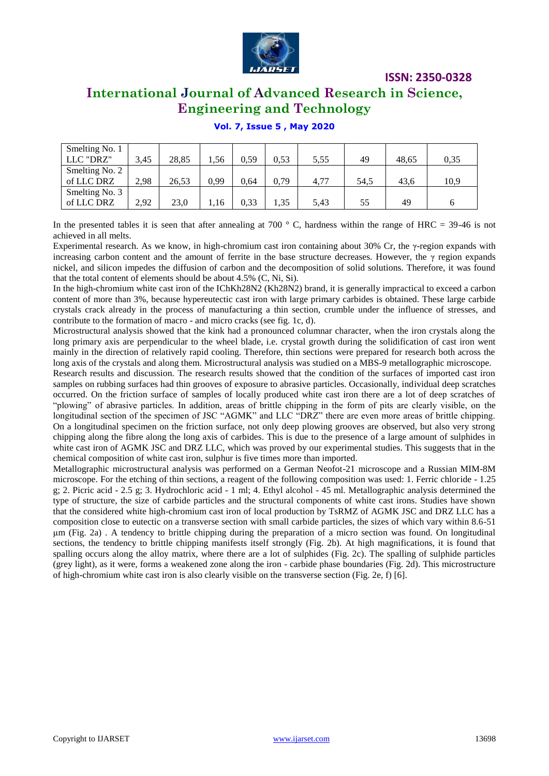

### **International Journal of Advanced Research in Science, Engineering and Technology**

### **Vol. 7, Issue 5 , May 2020**

| Smelting No. 1<br>LLC "DRZ"  | 3.45 | 28,85 | .,56 | 0.59 | 0.53 | 5,55 | 49   | 48.65 | 0,35 |
|------------------------------|------|-------|------|------|------|------|------|-------|------|
| Smelting No. 2<br>of LLC DRZ | 2.98 | 26,53 | 0.99 | 0.64 | 0,79 | 4.77 | 54.5 | 43.6  | 10,9 |
| Smelting No. 3<br>of LLC DRZ | 2.92 | 23.0  | . 16 | 0,33 | 1,35 | 5,43 | 55   | 49    |      |

In the presented tables it is seen that after annealing at 700  $\degree$  C, hardness within the range of HRC = 39-46 is not achieved in all melts.

Experimental research. As we know, in high-chromium cast iron containing about 30% Cr, the γ-region expands with increasing carbon content and the amount of ferrite in the base structure decreases. However, the γ region expands nickel, and silicon impedes the diffusion of carbon and the decomposition of solid solutions. Therefore, it was found that the total content of elements should be about 4.5% (C, Ni, Si).

In the high-chromium white cast iron of the IChKh28N2 (Kh28N2) brand, it is generally impractical to exceed a carbon content of more than 3%, because hypereutectic cast iron with large primary carbides is obtained. These large carbide crystals crack already in the process of manufacturing a thin section, crumble under the influence of stresses, and contribute to the formation of macro - and micro cracks (see fig. 1c, d).

Microstructural analysis showed that the kink had a pronounced columnar character, when the iron crystals along the long primary axis are perpendicular to the wheel blade, i.e. crystal growth during the solidification of cast iron went mainly in the direction of relatively rapid cooling. Therefore, thin sections were prepared for research both across the long axis of the crystals and along them. Microstructural analysis was studied on a MBS-9 metallographic microscope.

Research results and discussion. The research results showed that the condition of the surfaces of imported cast iron samples on rubbing surfaces had thin grooves of exposure to abrasive particles. Occasionally, individual deep scratches occurred. On the friction surface of samples of locally produced white cast iron there are a lot of deep scratches of "plowing" of abrasive particles. In addition, areas of brittle chipping in the form of pits are clearly visible, on the longitudinal section of the specimen of JSC "AGMK" and LLC "DRZ" there are even more areas of brittle chipping. On a longitudinal specimen on the friction surface, not only deep plowing grooves are observed, but also very strong chipping along the fibre along the long axis of carbides. This is due to the presence of a large amount of sulphides in white cast iron of AGMK JSC and DRZ LLC, which was proved by our experimental studies. This suggests that in the chemical composition of white cast iron, sulphur is five times more than imported.

Metallographic microstructural analysis was performed on a German Neofot-21 microscope and a Russian MIM-8M microscope. For the etching of thin sections, a reagent of the following composition was used: 1. Ferric chloride - 1.25 g; 2. Picric acid - 2.5 g; 3. Hydrochloric acid - 1 ml; 4. Ethyl alcohol - 45 ml. Metallographic analysis determined the type of structure, the size of carbide particles and the structural components of white cast irons. Studies have shown that the considered white high-chromium cast iron of local production by TsRMZ of AGMK JSC and DRZ LLC has a composition close to eutectic on a transverse section with small carbide particles, the sizes of which vary within 8.6-51 μm (Fig. 2a) . A tendency to brittle chipping during the preparation of a micro section was found. On longitudinal sections, the tendency to brittle chipping manifests itself strongly (Fig. 2b). At high magnifications, it is found that spalling occurs along the alloy matrix, where there are a lot of sulphides (Fig. 2c). The spalling of sulphide particles (grey light), as it were, forms a weakened zone along the iron - carbide phase boundaries (Fig. 2d). This microstructure of high-chromium white cast iron is also clearly visible on the transverse section (Fig. 2e, f) [6].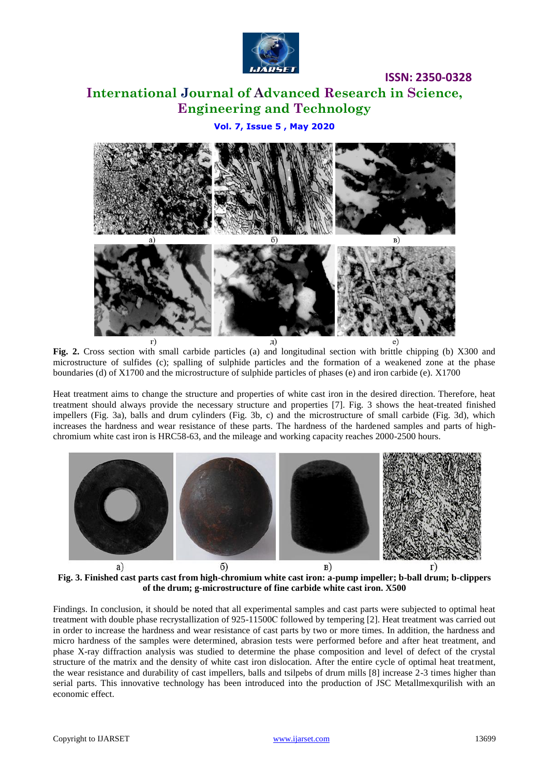

### **International Journal of Advanced Research in Science, Engineering and Technology**

### **Vol. 7, Issue 5 , May 2020**



**Fig. 2.** Cross section with small carbide particles (a) and longitudinal section with brittle chipping (b) X300 and microstructure of sulfides (c); spalling of sulphide particles and the formation of a weakened zone at the phase boundaries (d) of X1700 and the microstructure of sulphide particles of phases (e) and iron carbide (e). X1700

Heat treatment aims to change the structure and properties of white cast iron in the desired direction. Therefore, heat treatment should always provide the necessary structure and properties [7]. Fig. 3 shows the heat-treated finished impellers (Fig. 3a), balls and drum cylinders (Fig. 3b, c) and the microstructure of small carbide (Fig. 3d), which increases the hardness and wear resistance of these parts. The hardness of the hardened samples and parts of highchromium white cast iron is HRC58-63, and the mileage and working capacity reaches 2000-2500 hours.



**Fig. 3. Finished cast parts cast from high-chromium white cast iron: a-pump impeller; b-ball drum; b-clippers of the drum; g-microstructure of fine carbide white cast iron. X500**

Findings. In conclusion, it should be noted that all experimental samples and cast parts were subjected to optimal heat treatment with double phase recrystallization of 925-11500С followed by tempering [2]. Heat treatment was carried out in order to increase the hardness and wear resistance of cast parts by two or more times. In addition, the hardness and micro hardness of the samples were determined, abrasion tests were performed before and after heat treatment, and phase X-ray diffraction analysis was studied to determine the phase composition and level of defect of the crystal structure of the matrix and the density of white cast iron dislocation. After the entire cycle of optimal heat treatment, the wear resistance and durability of cast impellers, balls and tsilpebs of drum mills [8] increase 2-3 times higher than serial parts. This innovative technology has been introduced into the production of JSC Metallmexqurilish with an economic effect.